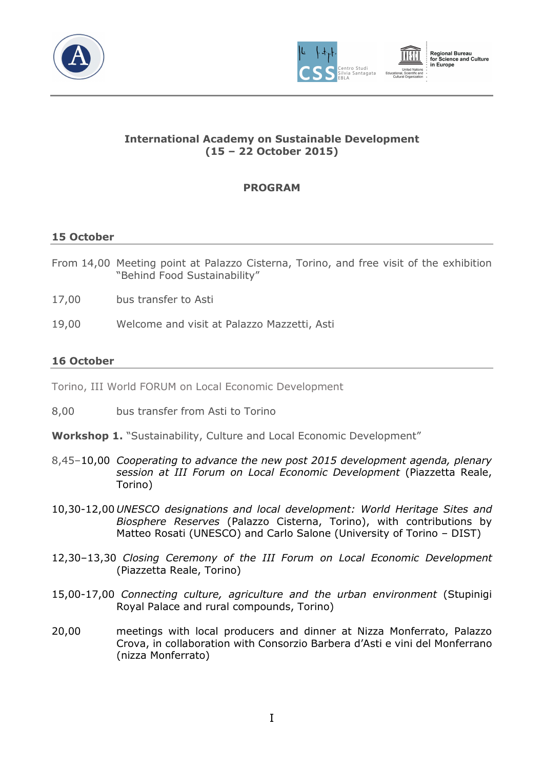



Regional Bureau<br>for Science and Culture in Europe

### International Academy on Sustainable Development (15 – 22 October 2015)

## PROGRAM

#### 15 October

- From 14,00 Meeting point at Palazzo Cisterna, Torino, and free visit of the exhibition "Behind Food Sustainability"
- 17,00 bus transfer to Asti
- 19,00 Welcome and visit at Palazzo Mazzetti, Asti

#### 16 October

Torino, III World FORUM on Local Economic Development

- 8,00 bus transfer from Asti to Torino
- Workshop 1. "Sustainability, Culture and Local Economic Development"
- 8,45–10,00 Cooperating to advance the new post 2015 development agenda, plenary session at III Forum on Local Economic Development (Piazzetta Reale, Torino)
- 10,30-12,00 UNESCO designations and local development: World Heritage Sites and Biosphere Reserves (Palazzo Cisterna, Torino), with contributions by Matteo Rosati (UNESCO) and Carlo Salone (University of Torino – DIST)
- 12,30–13,30 Closing Ceremony of the III Forum on Local Economic Development (Piazzetta Reale, Torino)
- 15,00-17,00 Connecting culture, agriculture and the urban environment (Stupinigi Royal Palace and rural compounds, Torino)
- 20,00 meetings with local producers and dinner at Nizza Monferrato, Palazzo Crova, in collaboration with Consorzio Barbera d'Asti e vini del Monferrano (nizza Monferrato)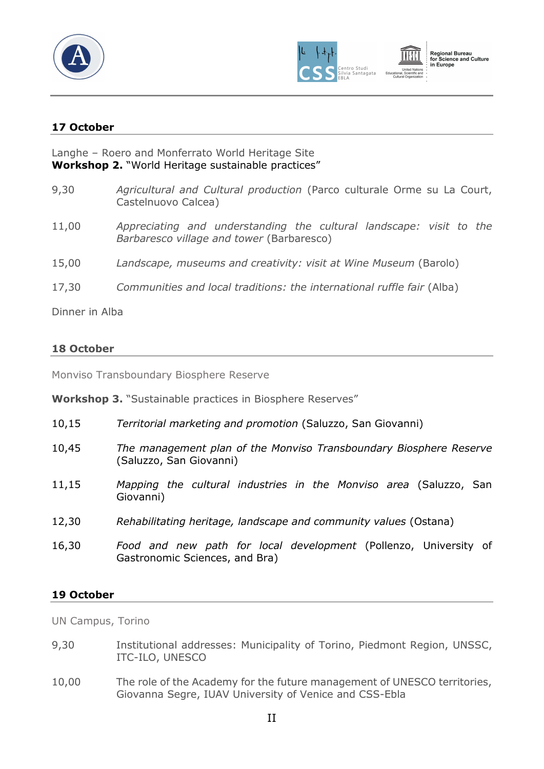



# 17 October

Langhe – Roero and Monferrato World Heritage Site Workshop 2. "World Heritage sustainable practices"

- 9,30 Agricultural and Cultural production (Parco culturale Orme su La Court, Castelnuovo Calcea)
- 11,00 Appreciating and understanding the cultural landscape: visit to the Barbaresco village and tower (Barbaresco)
- 15,00 Landscape, museums and creativity: visit at Wine Museum (Barolo)
- 17,30 Communities and local traditions: the international ruffle fair (Alba)

Dinner in Alba

# 18 October

Monviso Transboundary Biosphere Reserve

Workshop 3. "Sustainable practices in Biosphere Reserves"

| 10,15 | Territorial marketing and promotion (Saluzzo, San Giovanni)                                        |
|-------|----------------------------------------------------------------------------------------------------|
| 10,45 | The management plan of the Monviso Transboundary Biosphere Reserve<br>(Saluzzo, San Giovanni)      |
| 11,15 | Mapping the cultural industries in the Monviso area (Saluzzo, San<br>Giovanni)                     |
| 12,30 | Rehabilitating heritage, landscape and community values (Ostana)                                   |
| 16,30 | Food and new path for local development (Pollenzo, University of<br>Gastronomic Sciences, and Bra) |

# 19 October

UN Campus, Torino

- 9,30 Institutional addresses: Municipality of Torino, Piedmont Region, UNSSC, ITC-ILO, UNESCO
- 10,00 The role of the Academy for the future management of UNESCO territories, Giovanna Segre, IUAV University of Venice and CSS-Ebla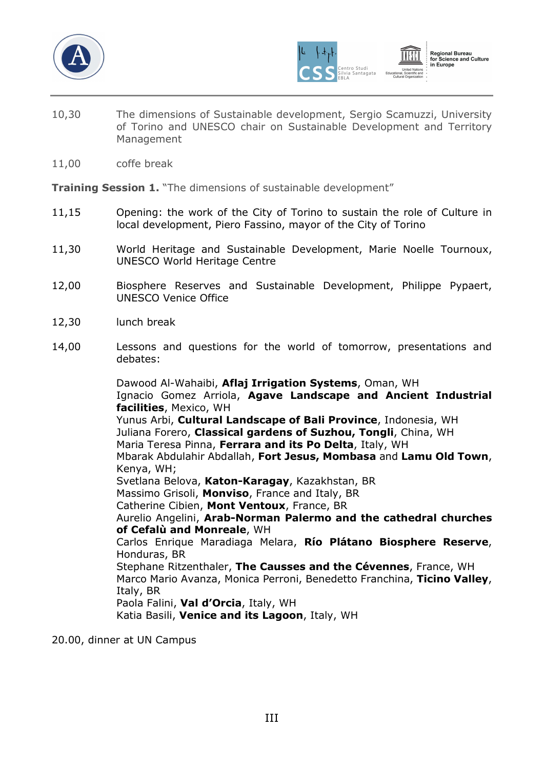



- 10,30 The dimensions of Sustainable development, Sergio Scamuzzi, University of Torino and UNESCO chair on Sustainable Development and Territory Management
- 11,00 coffe break

**Training Session 1.** "The dimensions of sustainable development"

- 11,15 Opening: the work of the City of Torino to sustain the role of Culture in local development, Piero Fassino, mayor of the City of Torino
- 11,30 World Heritage and Sustainable Development, Marie Noelle Tournoux, UNESCO World Heritage Centre
- 12,00 Biosphere Reserves and Sustainable Development, Philippe Pypaert, UNESCO Venice Office
- 12,30 lunch break
- 14,00 Lessons and questions for the world of tomorrow, presentations and debates:

 Dawood Al-Wahaibi, Aflaj Irrigation Systems, Oman, WH Ignacio Gomez Arriola, Agave Landscape and Ancient Industrial facilities, Mexico, WH Yunus Arbi, Cultural Landscape of Bali Province, Indonesia, WH Juliana Forero, Classical gardens of Suzhou, Tongli, China, WH Maria Teresa Pinna, Ferrara and its Po Delta, Italy, WH Mbarak Abdulahir Abdallah, Fort Jesus, Mombasa and Lamu Old Town, Kenya, WH; Svetlana Belova, Katon-Karagay, Kazakhstan, BR Massimo Grisoli, Monviso, France and Italy, BR Catherine Cibien, Mont Ventoux, France, BR Aurelio Angelini, Arab-Norman Palermo and the cathedral churches of Cefalù and Monreale, WH Carlos Enrique Maradiaga Melara, Río Plátano Biosphere Reserve, Honduras, BR Stephane Ritzenthaler, The Causses and the Cévennes, France, WH Marco Mario Avanza, Monica Perroni, Benedetto Franchina, Ticino Valley, Italy, BR Paola Falini, Val d'Orcia, Italy, WH Katia Basili, Venice and its Lagoon, Italy, WH

20.00, dinner at UN Campus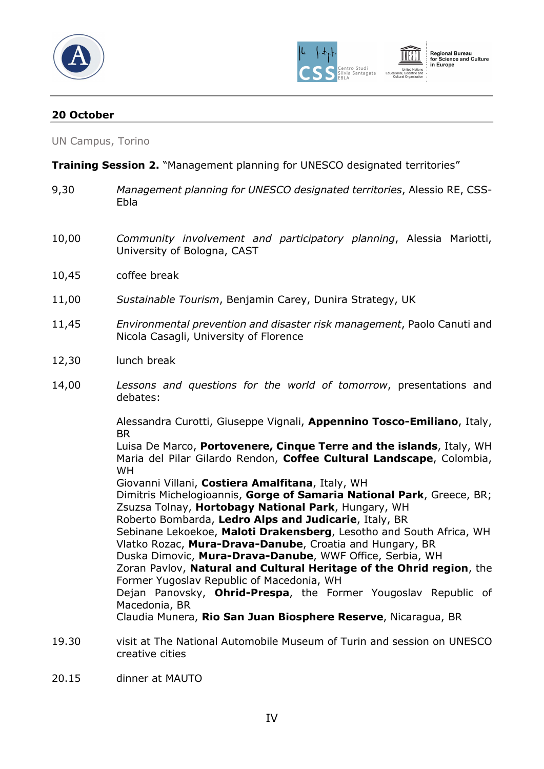



## 20 October

UN Campus, Torino

#### **Training Session 2.** "Management planning for UNESCO designated territories"

- 9,30 Management planning for UNESCO designated territories, Alessio RE, CSS-Ebla
- 10,00 Community involvement and participatory planning, Alessia Mariotti, University of Bologna, CAST
- 10,45 coffee break
- 11,00 Sustainable Tourism, Benjamin Carey, Dunira Strategy, UK
- 11,45 Environmental prevention and disaster risk management, Paolo Canuti and Nicola Casagli, University of Florence
- 12,30 lunch break
- 14,00 Lessons and questions for the world of tomorrow, presentations and debates:

Alessandra Curotti, Giuseppe Vignali, Appennino Tosco-Emiliano, Italy, BR

Luisa De Marco, Portovenere, Cinque Terre and the islands, Italy, WH Maria del Pilar Gilardo Rendon, Coffee Cultural Landscape, Colombia, WH

Giovanni Villani, Costiera Amalfitana, Italy, WH

Dimitris Michelogioannis, Gorge of Samaria National Park, Greece, BR; Zsuzsa Tolnay, Hortobagy National Park, Hungary, WH

Roberto Bombarda, Ledro Alps and Judicarie, Italy, BR

Sebinane Lekoekoe, Maloti Drakensberg, Lesotho and South Africa, WH Vlatko Rozac, Mura-Drava-Danube, Croatia and Hungary, BR

Duska Dimovic, Mura-Drava-Danube, WWF Office, Serbia, WH

Zoran Pavlov, Natural and Cultural Heritage of the Ohrid region, the Former Yugoslav Republic of Macedonia, WH

Dejan Panovsky, Ohrid-Prespa, the Former Yougoslav Republic of Macedonia, BR

Claudia Munera, Rio San Juan Biosphere Reserve, Nicaragua, BR

- 19.30 visit at The National Automobile Museum of Turin and session on UNESCO creative cities
- 20.15 dinner at MAUTO